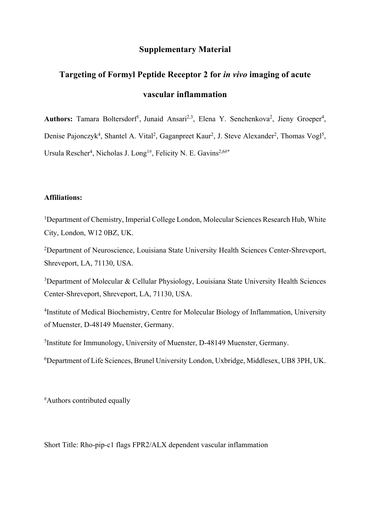## **Supplementary Material**

# **Targeting of Formyl Peptide Receptor 2 for** *in vivo* **imaging of acute vascular inflammation**

Authors: Tamara Boltersdorf<sup>1</sup>, Junaid Ansari<sup>2,3</sup>, Elena Y. Senchenkova<sup>2</sup>, Jieny Groeper<sup>4</sup>, Denise Pajonczyk<sup>4</sup>, Shantel A. Vital<sup>2</sup>, Gaganpreet Kaur<sup>2</sup>, J. Steve Alexander<sup>2</sup>, Thomas Vogl<sup>5</sup>, Ursula Rescher<sup>4</sup>, Nicholas J. Long<sup>1#</sup>, Felicity N. E. Gavins<sup>2,6#\*</sup>

#### **Affiliations:**

<sup>1</sup>Department of Chemistry, Imperial College London, Molecular Sciences Research Hub, White City, London, W12 0BZ, UK.

<sup>2</sup>Department of Neuroscience, Louisiana State University Health Sciences Center-Shreveport, Shreveport, LA, 71130, USA.

<sup>3</sup>Department of Molecular & Cellular Physiology, Louisiana State University Health Sciences Center-Shreveport, Shreveport, LA, 71130, USA.

<sup>4</sup>Institute of Medical Biochemistry, Centre for Molecular Biology of Inflammation, University of Muenster, D-48149 Muenster, Germany.

5 Institute for Immunology, University of Muenster, D-48149 Muenster, Germany.

6 Department of Life Sciences, Brunel University London, Uxbridge, Middlesex, UB8 3PH, UK.

# Authors contributed equally

Short Title: Rho-pip-c1 flags FPR2/ALX dependent vascular inflammation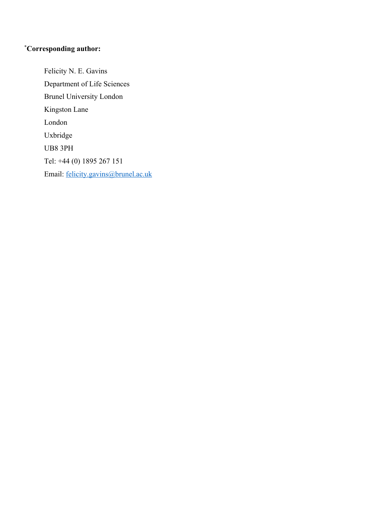#### \* **Corresponding author:**

Felicity N. E. Gavins Department of Life Sciences Brunel University London Kingston Lane London Uxbridge UB8 3PH Tel: +44 (0) 1895 267 151 Email: felicity.gavins@brunel.ac.uk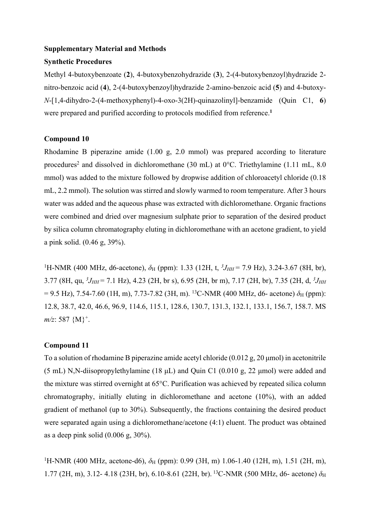#### **Supplementary Material and Methods**

#### **Synthetic Procedures**

Methyl 4-butoxybenzoate (**2**), 4-butoxybenzohydrazide (**3**), 2-(4-butoxybenzoyl)hydrazide 2 nitro-benzoic acid (**4**), 2-(4-butoxybenzoyl)hydrazide 2-amino-benzoic acid (**5**) and 4-butoxy-*N*-[1,4-dihydro-2-(4-methoxyphenyl)-4-oxo-3(2H)-quinazolinyl]-benzamide (Quin C1, **6**) were prepared and purified according to protocols modified from reference.**<sup>1</sup>**

#### **Compound 10**

Rhodamine B piperazine amide (1.00 g, 2.0 mmol) was prepared according to literature procedures<sup>2</sup> and dissolved in dichloromethane (30 mL) at  $0^{\circ}$ C. Triethylamine (1.11 mL, 8.0) mmol) was added to the mixture followed by dropwise addition of chloroacetyl chloride (0.18 mL, 2.2 mmol). The solution was stirred and slowly warmed to room temperature. After 3 hours water was added and the aqueous phase was extracted with dichloromethane. Organic fractions were combined and dried over magnesium sulphate prior to separation of the desired product by silica column chromatography eluting in dichloromethane with an acetone gradient, to yield a pink solid. (0.46 g, 39%).

<sup>1</sup>H-NMR (400 MHz, d6-acetone),  $\delta_H$  (ppm): 1.33 (12H, t,  ${}^3J_{HH}$  = 7.9 Hz), 3.24-3.67 (8H, br), 3.77 (8H, qu,  ${}^{3}J_{HH}$  = 7.1 Hz), 4.23 (2H, br s), 6.95 (2H, br m), 7.17 (2H, br), 7.35 (2H, d,  ${}^{3}J_{HH}$  $= 9.5$  Hz), 7.54-7.60 (1H, m), 7.73-7.82 (3H, m). <sup>13</sup>C-NMR (400 MHz, d6- acetone)  $\delta$ <sub>H</sub> (ppm): 12.8, 38.7, 42.0, 46.6, 96.9, 114.6, 115.1, 128.6, 130.7, 131.3, 132.1, 133.1, 156.7, 158.7. MS  $m/z$ : 587  $\{M\}^+$ .

## **Compound 11**

To a solution of rhodamine B piperazine amide acetyl chloride (0.012 g, 20 μmol) in acetonitrile (5 mL) N,N-diisopropylethylamine (18 μL) and Quin C1 (0.010 g, 22 μmol) were added and the mixture was stirred overnight at 65°C. Purification was achieved by repeated silica column chromatography, initially eluting in dichloromethane and acetone (10%), with an added gradient of methanol (up to 30%). Subsequently, the fractions containing the desired product were separated again using a dichloromethane/acetone (4:1) eluent. The product was obtained as a deep pink solid (0.006 g, 30%).

<sup>1</sup>H-NMR (400 MHz, acetone-d6),  $\delta$ <sub>H</sub> (ppm): 0.99 (3H, m) 1.06-1.40 (12H, m), 1.51 (2H, m), 1.77 (2H, m), 3.12- 4.18 (23H, br), 6.10-8.61 (22H, br). <sup>13</sup>C-NMR (500 MHz, d6- acetone)  $δ$ <sub>H</sub>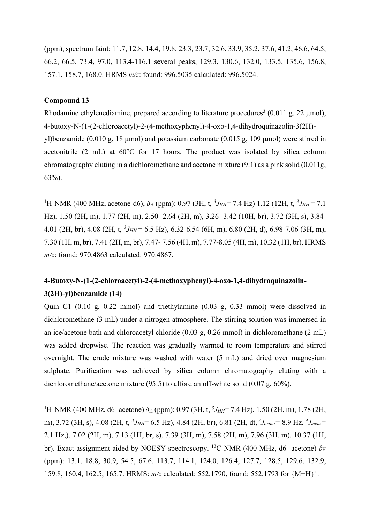(ppm), spectrum faint: 11.7, 12.8, 14.4, 19.8, 23.3, 23.7, 32.6, 33.9, 35.2, 37.6, 41.2, 46.6, 64.5, 66.2, 66.5, 73.4, 97.0, 113.4-116.1 several peaks, 129.3, 130.6, 132.0, 133.5, 135.6, 156.8, 157.1, 158.7, 168.0. HRMS *m/z*: found: 996.5035 calculated: 996.5024.

#### **Compound 13**

Rhodamine ethylenediamine, prepared according to literature procedures<sup>3</sup> (0.011 g, 22  $\mu$ mol), 4-butoxy-N-(1-(2-chloroacetyl)-2-(4-methoxyphenyl)-4-oxo-1,4-dihydroquinazolin-3(2H) yl)benzamide (0.010 g, 18 μmol) and potassium carbonate (0.015 g, 109 μmol) were stirred in acetonitrile (2 mL) at 60°C for 17 hours. The product was isolated by silica column chromatography eluting in a dichloromethane and acetone mixture (9:1) as a pink solid (0.011g, 63%).

<sup>1</sup>H-NMR (400 MHz, acetone-d6),  $\delta_H$  (ppm): 0.97 (3H, t,  ${}^3J_{HH}$  = 7.4 Hz) 1.12 (12H, t,  ${}^3J_{HH}$  = 7.1 Hz), 1.50 (2H, m), 1.77 (2H, m), 2.50- 2.64 (2H, m), 3.26- 3.42 (10H, br), 3.72 (3H, s), 3.84- 4.01 (2H, br), 4.08 (2H, t,  ${}^{3}J_{HH}$  = 6.5 Hz), 6.32-6.54 (6H, m), 6.80 (2H, d), 6.98-7.06 (3H, m), 7.30 (1H, m, br), 7.41 (2H, m, br), 7.47- 7.56 (4H, m), 7.77-8.05 (4H, m), 10.32 (1H, br). HRMS *m/z*: found: 970.4863 calculated: 970.4867.

# **4-Butoxy-N-(1-(2-chloroacetyl)-2-(4-methoxyphenyl)-4-oxo-1,4-dihydroquinazolin-3(2H)-yl)benzamide (14)**

Quin C1 (0.10 g, 0.22 mmol) and triethylamine (0.03 g, 0.33 mmol) were dissolved in dichloromethane (3 mL) under a nitrogen atmosphere. The stirring solution was immersed in an ice/acetone bath and chloroacetyl chloride (0.03 g, 0.26 mmol) in dichloromethane (2 mL) was added dropwise. The reaction was gradually warmed to room temperature and stirred overnight. The crude mixture was washed with water (5 mL) and dried over magnesium sulphate. Purification was achieved by silica column chromatography eluting with a dichloromethane/acetone mixture (95:5) to afford an off-white solid (0.07 g, 60%).

<sup>1</sup>H-NMR (400 MHz, d6- acetone)  $\delta$ <sub>H</sub> (ppm): 0.97 (3H, t, <sup>3</sup>J<sub>HH</sub>= 7.4 Hz), 1.50 (2H, m), 1.78 (2H, m), 3.72 (3H, s), 4.08 (2H, t,  ${}^{3}J_{HH}$ = 6.5 Hz), 4.84 (2H, br), 6.81 (2H, dt,  ${}^{3}J_{ortho}$  = 8.9 Hz,  ${}^{4}J_{meta}$  = 2.1 Hz,), 7.02 (2H, m), 7.13 (1H, br, s), 7.39 (3H, m), 7.58 (2H, m), 7.96 (3H, m), 10.37 (1H, br). Exact assignment aided by NOESY spectroscopy. <sup>13</sup>C-NMR (400 MHz, d6- acetone)  $\delta_H$ (ppm): 13.1, 18.8, 30.9, 54.5, 67.6, 113.7, 114.1, 124.0, 126.4, 127.7, 128.5, 129.6, 132.9, 159.8, 160.4, 162.5, 165.7. HRMS: *m/z* calculated: 552.1790, found: 552.1793 for {M+H}+.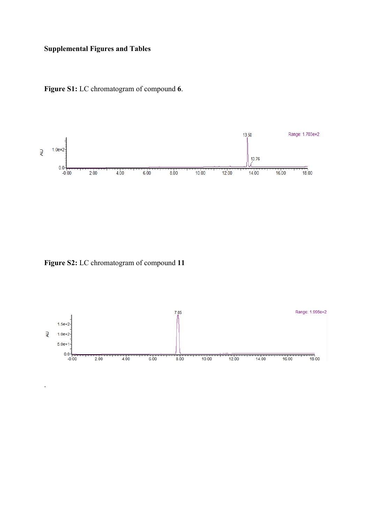## **Supplemental Figures and Tables**





**Figure S2:** LC chromatogram of compound **11**

.

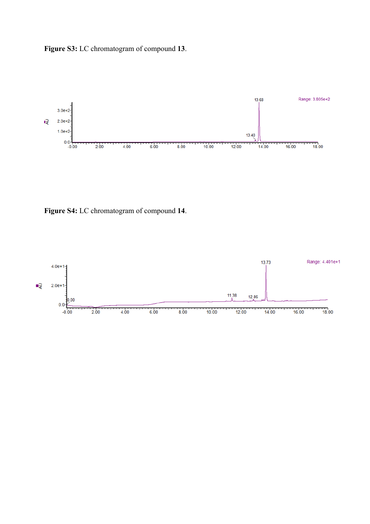**Figure S3:** LC chromatogram of compound **13**.



**Figure S4:** LC chromatogram of compound **14**.

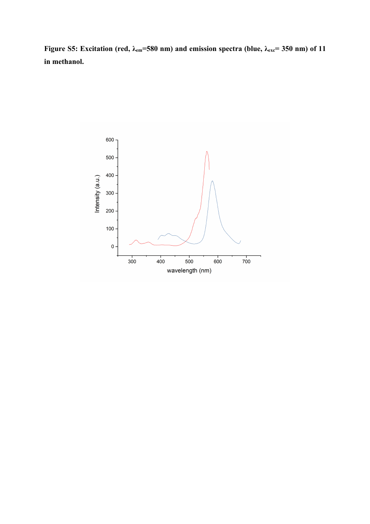**Figure S5: Excitation (red, λem=580 nm) and emission spectra (blue, λexc= 350 nm) of 11 in methanol.**

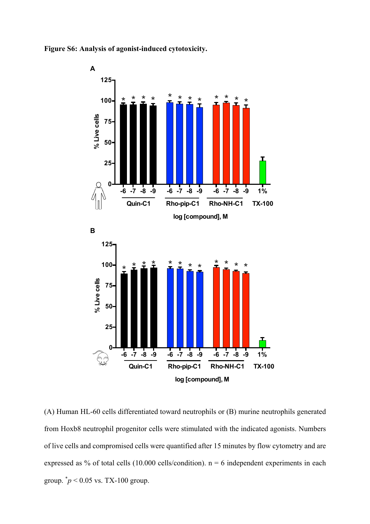



(A) Human HL-60 cells differentiated toward neutrophils or (B) murine neutrophils generated from Hoxb8 neutrophil progenitor cells were stimulated with the indicated agonists. Numbers of live cells and compromised cells were quantified after 15 minutes by flow cytometry and are expressed as % of total cells (10.000 cells/condition).  $n = 6$  independent experiments in each group. \* *p* < 0.05 vs. TX-100 group.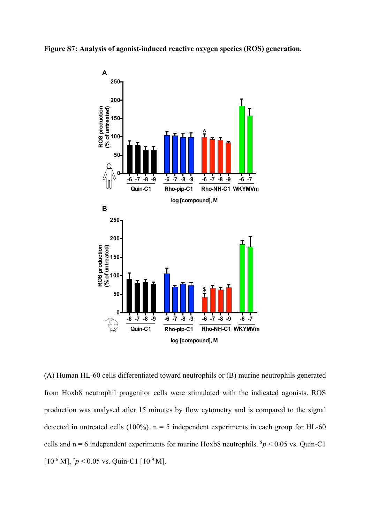



(A) Human HL-60 cells differentiated toward neutrophils or (B) murine neutrophils generated from Hoxb8 neutrophil progenitor cells were stimulated with the indicated agonists. ROS production was analysed after 15 minutes by flow cytometry and is compared to the signal detected in untreated cells (100%).  $n = 5$  independent experiments in each group for HL-60 cells and  $n = 6$  independent experiments for murine Hoxb8 neutrophils.  $\frac{5p}{6} < 0.05$  vs. Quin-C1  $[10^{-6}$  M],  $\hat{p}$  < 0.05 vs. Quin-C1  $[10^{-9}$  M].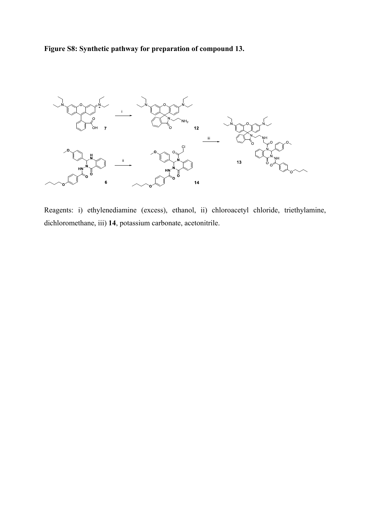**Figure S8: Synthetic pathway for preparation of compound 13.**



Reagents: i) ethylenediamine (excess), ethanol, ii) chloroacetyl chloride, triethylamine, dichloromethane, iii) **14**, potassium carbonate, acetonitrile.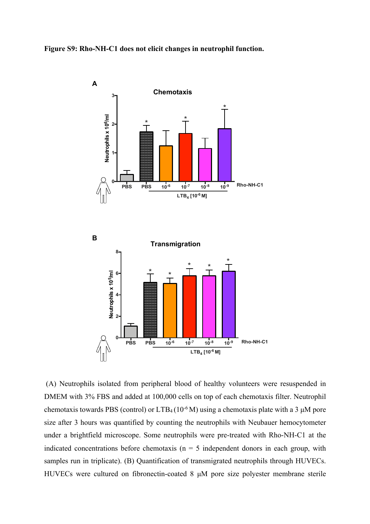**Figure S9: Rho-NH-C1 does not elicit changes in neutrophil function.** 



(A) Neutrophils isolated from peripheral blood of healthy volunteers were resuspended in DMEM with 3% FBS and added at 100,000 cells on top of each chemotaxis filter. Neutrophil chemotaxis towards PBS (control) or  $LTB<sub>4</sub>(10<sup>-6</sup>M)$  using a chemotaxis plate with a 3 µM pore size after 3 hours was quantified by counting the neutrophils with Neubauer hemocytometer under a brightfield microscope. Some neutrophils were pre-treated with Rho-NH-C1 at the indicated concentrations before chemotaxis ( $n = 5$  independent donors in each group, with samples run in triplicate). (B) Quantification of transmigrated neutrophils through HUVECs. HUVECs were cultured on fibronectin-coated 8 μM pore size polyester membrane sterile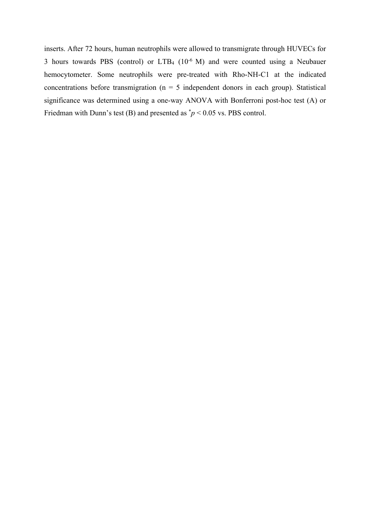inserts. After 72 hours, human neutrophils were allowed to transmigrate through HUVECs for 3 hours towards PBS (control) or  $LTB<sub>4</sub>$  (10<sup>-6</sup> M) and were counted using a Neubauer hemocytometer. Some neutrophils were pre-treated with Rho-NH-C1 at the indicated concentrations before transmigration ( $n = 5$  independent donors in each group). Statistical significance was determined using a one-way ANOVA with Bonferroni post-hoc test (A) or Friedman with Dunn's test (B) and presented as  $\dot{p}$  < 0.05 vs. PBS control.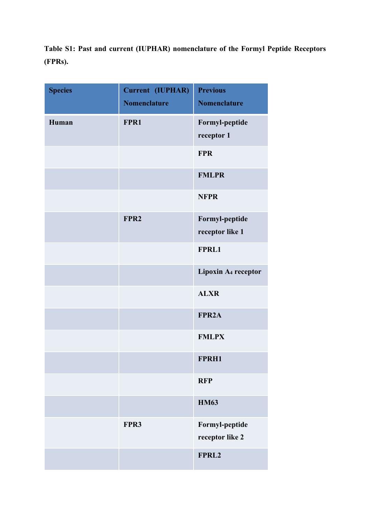**Table S1: Past and current (IUPHAR) nomenclature of the Formyl Peptide Receptors (FPRs).** 

| <b>Species</b> | Current (IUPHAR)<br><b>Nomenclature</b> | <b>Previous</b><br><b>Nomenclature</b> |
|----------------|-----------------------------------------|----------------------------------------|
| Human          | FPR1                                    | Formyl-peptide<br>receptor 1           |
|                |                                         | <b>FPR</b>                             |
|                |                                         | <b>FMLPR</b>                           |
|                |                                         | <b>NFPR</b>                            |
|                | FPR <sub>2</sub>                        | Formyl-peptide<br>receptor like 1      |
|                |                                         | FPRL1                                  |
|                |                                         | Lipoxin A <sub>4</sub> receptor        |
|                |                                         | <b>ALXR</b>                            |
|                |                                         | FPR <sub>2</sub> A                     |
|                |                                         | <b>FMLPX</b>                           |
|                |                                         | FPRH1                                  |
|                |                                         | <b>RFP</b>                             |
|                |                                         | <b>HM63</b>                            |
|                | FPR3                                    | Formyl-peptide<br>receptor like 2      |
|                |                                         | FPRL2                                  |